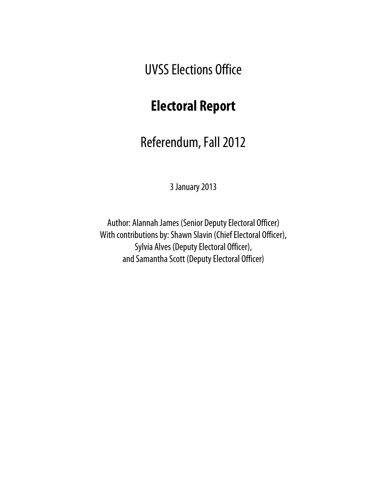UVSS Elections Office

# **Electoral Report**

Referendum, Fall 2012

3 January 2013

Author: Alannah James (Senior Deputy Electoral Officer) With contributions by: Shawn Slavin (Chief Electoral Officer), Sylvia Alves (Deputy Electoral Officer), and Samantha Scott (Deputy Electoral Officer)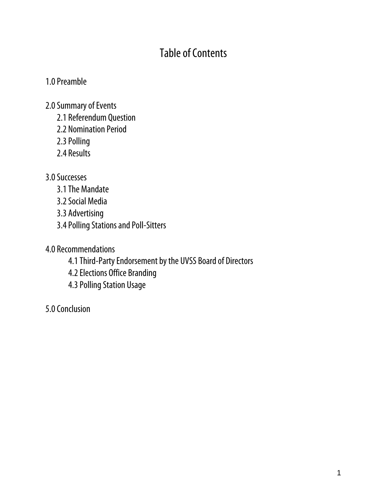# Table of Contents

#### 1.0 Preamble

- 2.0 Summary of Events
	- 2.1 Referendum Question
	- 2.2 Nomination Period
	- 2.3 Polling
	- 2.4 Results

#### 3.0 Successes

- 3.1 The Mandate
- 3.2 Social Media
- 3.3 Advertising
- 3.4 Polling Stations and Poll-Sitters
- 4.0 Recommendations
	- 4.1Third-Party Endorsement by the UVSS Board of Directors
	- 4.2Elections Office Branding
	- 4.3 Polling Station Usage
- 5.0 Conclusion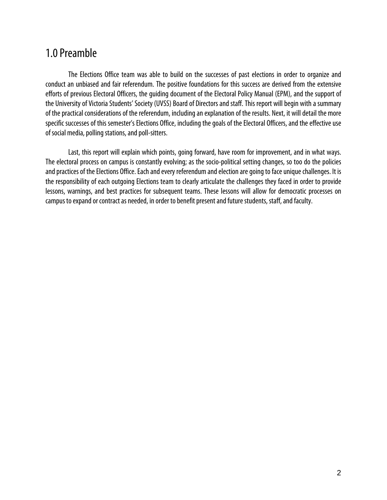### 1.0 Preamble

The Elections Office team was able to build on the successes of past elections in order to organize and conduct an unbiased and fair referendum. The positive foundations for this success are derived from the extensive efforts of previous Electoral Officers, the guiding document of the Electoral Policy Manual (EPM), and the support of the University of Victoria Students' Society (UVSS) Board of Directors and staff. This report will begin with a summary of the practical considerations of the referendum, including an explanation of the results. Next, it will detail the more specific successes of this semester's Elections Office, including the goals of the Electoral Officers, and the effective use of social media, polling stations, and poll-sitters.

 Last, this report will explain which points, going forward, have room for improvement, and in what ways. The electoral process on campus is constantly evolving; as the socio-political setting changes, so too do the policies and practices of the Elections Office. Each and every referendum and election are going to face unique challenges. It is the responsibility of each outgoing Elections team to clearly articulate the challenges they faced in order to provide lessons, warnings, and best practices for subsequent teams. These lessons will allow for democratic processes on campus to expand or contract as needed, in order to benefit present and future students, staff, and faculty.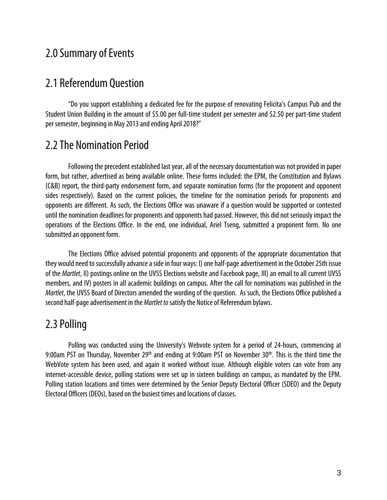### 2.0 Summary of Events

#### 2.1 Referendum Question

"Do you support establishing a dedicated fee for the purpose of renovating Felicita's Campus Pub and the Student Union Building in the amount of \$5.00 per full-time student per semester and \$2.50 per part-time student per semester, beginning in May 2013 and ending April 2018?"

### 2.2 The Nomination Period

Following the precedent established last year, all of the necessary documentation was not provided in paper form, but rather, advertised as being available online. These forms included: the EPM, the Constitution and Bylaws (C&B) report, the third-party endorsement form, and separate nomination forms (for the proponent and opponent sides respectively). Based on the current policies, the timeline for the nomination periods for proponents and opponents are different. As such, the Elections Office was unaware if a question would be supported or contested until the nomination deadlines for proponents and opponents had passed. However, this did not seriously impact the operations of the Elections Office. In the end, one individual, Ariel Tseng, submitted a proponent form. No one submitted an opponent form.

The Elections Office advised potential proponents and opponents of the appropriate documentation that they would need to successfully advance a side in four ways: I) one half-page advertisement in the October 25th issue of the Martlet, II) postings online on the UVSS Elections website and Facebook page, III) an email to all current UVSS members, and IV) posters in all academic buildings on campus. After the call for nominations was published in the Martlet, the UVSS Board of Directors amended the wording of the question. As such, the Elections Office published a second half-page advertisement in the *Martlet to* satisfy the Notice of Referendum bylaws.

### 2.3 Polling

Polling was conducted using the University's Webvote system for a period of 24-hours, commencing at 9:00am PST on Thursday, November 29<sup>th</sup> and ending at 9:00am PST on November 30<sup>th</sup>. This is the third time the WebVote system has been used, and again it worked without issue. Although eligible voters can vote from any internet-accessible device, polling stations were set up in sixteen buildings on campus, as mandated by the EPM. Polling station locations and times were determined by the Senior Deputy Electoral Officer (SDEO) and the Deputy Electoral Officers (DEOs), based on the busiest times and locations of classes.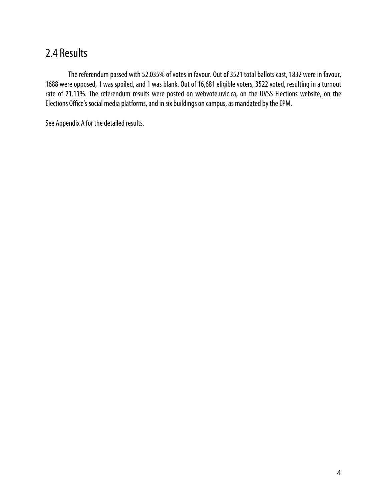# 2.4 Results

The referendum passed with 52.035% of votes in favour. Out of 3521 total ballots cast, 1832 were in favour, 1688 were opposed, 1 was spoiled, and 1 was blank. Out of 16,681 eligible voters, 3522 voted, resulting in a turnout rate of 21.11%. The referendum results were posted on webvote.uvic.ca, on the UVSS Elections website, on the Elections Office's social media platforms, and in six buildings on campus, as mandated by the EPM.

See Appendix A for the detailed results.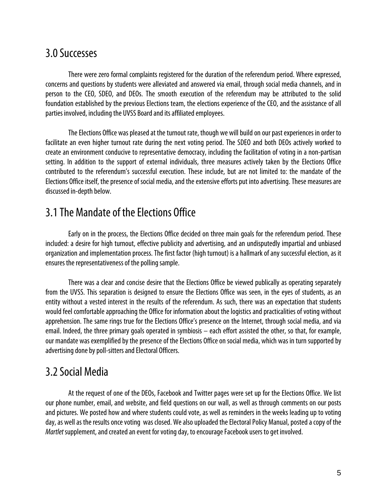#### 3.0 Successes

There were zero formal complaints registered for the duration of the referendum period. Where expressed, concerns and questions by students were alleviated and answered via email, through social media channels, and in person to the CEO, SDEO, and DEOs. The smooth execution of the referendum may be attributed to the solid foundation established by the previous Elections team, the elections experience of the CEO, and the assistance of all parties involved, including the UVSS Board and its affiliated employees.

The Elections Office was pleased at the turnout rate, though we will build on our past experiences in order to facilitate an even higher turnout rate during the next voting period. The SDEO and both DEOs actively worked to create an environment conducive to representative democracy, including the facilitation of voting in a non-partisan setting. In addition to the support of external individuals, three measures actively taken by the Elections Office contributed to the referendum's successful execution. These include, but are not limited to: the mandate of the Elections Office itself, the presence of social media, and the extensive efforts put into advertising. These measures are discussed in-depth below.

# 3.1 The Mandate of the Elections Office

Early on in the process, the Elections Office decided on three main goals for the referendum period. These included: a desire for high turnout, effective publicity and advertising, and an undisputedly impartial and unbiased organization and implementation process. The first factor (high turnout) is a hallmark of any successful election, as it ensures the representativeness of the polling sample.

There was a clear and concise desire that the Elections Office be viewed publically as operating separately from the UVSS. This separation is designed to ensure the Elections Office was seen, in the eyes of students, as an entity without a vested interest in the results of the referendum. As such, there was an expectation that students would feel comfortable approaching the Office for information about the logistics and practicalities of voting without apprehension. The same rings true for the Elections Office's presence on the Internet, through social media, and via email. Indeed, the three primary goals operated in symbiosis – each effort assisted the other, so that, for example, our mandate was exemplified by the presence of the Elections Office on social media, which was in turn supported by advertising done by poll-sitters and Electoral Officers.

# 3.2 Social Media

At the request of one of the DEOs, Facebook and Twitter pages were set up for the Elections Office. We list our phone number, email, and website, and field questions on our wall, as well as through comments on our posts and pictures. We posted how and where students could vote, as well as reminders in the weeks leading up to voting day, as well as the results once voting was closed. We also uploaded the Electoral Policy Manual, posted a copy of the Martlet supplement, and created an event for voting day, to encourage Facebook users to get involved.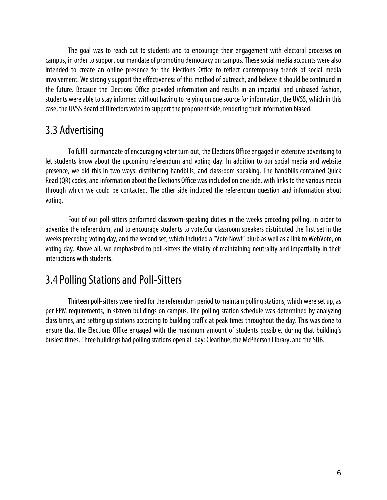The goal was to reach out to students and to encourage their engagement with electoral processes on campus, in order to support our mandate of promoting democracy on campus. These social media accounts were also intended to create an online presence for the Elections Office to reflect contemporary trends of social media involvement. We strongly support the effectiveness of this method of outreach, and believe it should be continued in the future. Because the Elections Office provided information and results in an impartial and unbiased fashion, students were able to stay informed without having to relying on one source for information, the UVSS, which in this case, the UVSS Board of Directors voted to support the proponent side, rendering their information biased.

## 3.3 Advertising

To fulfill our mandate of encouraging voter turn out, the Elections Office engaged in extensive advertising to let students know about the upcoming referendum and voting day. In addition to our social media and website presence, we did this in two ways: distributing handbills, and classroom speaking. The handbills contained Quick Read (QR) codes, and information about the Elections Office was included on one side, with links to the various media through which we could be contacted. The other side included the referendum question and information about voting.

Four of our poll-sitters performed classroom-speaking duties in the weeks preceding polling, in order to advertise the referendum, and to encourage students to vote.Our classroom speakers distributed the first set in the weeks preceding voting day, and the second set, which included a "Vote Now!" blurb as well as a link to WebVote, on voting day. Above all, we emphasized to poll-sitters the vitality of maintaining neutrality and impartiality in their interactions with students.

# 3.4 Polling Stations and Poll-Sitters

Thirteen poll-sitters were hired for the referendum period to maintain polling stations, which were set up, as per EPM requirements, in sixteen buildings on campus. The polling station schedule was determined by analyzing class times, and setting up stations according to building traffic at peak times throughout the day. This was done to ensure that the Elections Office engaged with the maximum amount of students possible, during that building's busiest times. Three buildings had polling stations open all day: Clearihue, the McPherson Library, and the SUB.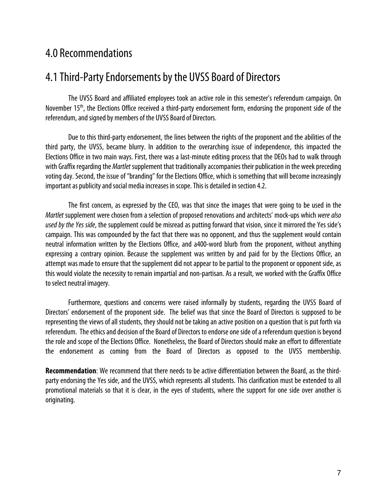### 4.0 Recommendations

### 4.1 Third-Party Endorsements by the UVSS Board of Directors

The UVSS Board and affiliated employees took an active role in this semester's referendum campaign. On November 15<sup>th</sup>, the Elections Office received a third-party endorsement form, endorsing the proponent side of the referendum, and signed by members of the UVSS Board of Directors.

Due to this third-party endorsement, the lines between the rights of the proponent and the abilities of the third party, the UVSS, became blurry. In addition to the overarching issue of independence, this impacted the Elections Office in two main ways. First, there was a last-minute editing process that the DEOs had to walk through with Graffix regarding the *Martlet* supplement that traditionally accompanies their publication in the week preceding voting day. Second, the issue of "branding" for the Elections Office, which is something that will become increasingly important as publicity and social media increases in scope. This is detailed in section 4.2.

The first concern, as expressed by the CEO, was that since the images that were going to be used in the Martlet supplement were chosen from a selection of proposed renovations and architects' mock-ups which were also used by the Yes side, the supplement could be misread as putting forward that vision, since it mirrored the Yes side's campaign. This was compounded by the fact that there was no opponent, and thus the supplement would contain neutral information written by the Elections Office, and a400-word blurb from the proponent, without anything expressing a contrary opinion. Because the supplement was written by and paid for by the Elections Office, an attempt was made to ensure that the supplement did not appear to be partial to the proponent or opponent side, as this would violate the necessity to remain impartial and non-partisan. As a result, we worked with the Graffix Office to select neutral imagery.

Furthermore, questions and concerns were raised informally by students, regarding the UVSS Board of Directors' endorsement of the proponent side. The belief was that since the Board of Directors is supposed to be representing the views of all students, they should not be taking an active position on a question that is put forth via referendum. The ethics and decision of the Board of Directors to endorse one side of a referendum question is beyond the role and scope of the Elections Office. Nonetheless, the Board of Directors should make an effort to differentiate the endorsement as coming from the Board of Directors as opposed to the UVSS membership.

**Recommendation**: We recommend that there needs to be active differentiation between the Board, as the thirdparty endorsing the Yes side, and the UVSS, which represents all students. This clarification must be extended to all promotional materials so that it is clear, in the eyes of students, where the support for one side over another is originating.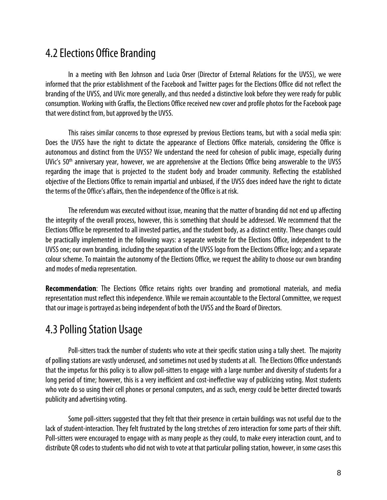## 4.2 Elections Office Branding

In a meeting with Ben Johnson and Lucia Orser (Director of External Relations for the UVSS), we were informed that the prior establishment of the Facebook and Twitter pages for the Elections Office did not reflect the branding of the UVSS, and UVic more generally, and thus needed a distinctive look before they were ready for public consumption. Working with Graffix, the Elections Office received new cover and profile photos for the Facebook page that were distinct from, but approved by the UVSS.

 This raises similar concerns to those expressed by previous Elections teams, but with a social media spin: Does the UVSS have the right to dictate the appearance of Elections Office materials, considering the Office is autonomous and distinct from the UVSS? We understand the need for cohesion of public image, especially during UVic's 50<sup>th</sup> anniversary year, however, we are apprehensive at the Elections Office being answerable to the UVSS regarding the image that is projected to the student body and broader community. Reflecting the established objective of the Elections Office to remain impartial and unbiased, if the UVSS does indeed have the right to dictate the terms of the Office's affairs, then the independence of the Office is at risk.

 The referendum was executed without issue, meaning that the matter of branding did not end up affecting the integrity of the overall process, however, this is something that should be addressed. We recommend that the Elections Office be represented to all invested parties, and the student body, as a distinct entity. These changes could be practically implemented in the following ways: a separate website for the Elections Office, independent to the UVSS one; our own branding, including the separation of the UVSS logo from the Elections Office logo; and a separate colour scheme. To maintain the autonomy of the Elections Office, we request the ability to choose our own branding and modes of media representation.

**Recommendation**: The Elections Office retains rights over branding and promotional materials, and media representation must reflect this independence. While we remain accountable to the Electoral Committee, we request that our image is portrayed as being independent of both the UVSS and the Board of Directors.

# 4.3 Polling Station Usage

Poll-sitters track the number of students who vote at their specific station using a tally sheet. The majority of polling stations are vastly underused, and sometimes not used by students at all. The Elections Office understands that the impetus for this policy is to allow poll-sitters to engage with a large number and diversity of students for a long period of time; however, this is a very inefficient and cost-ineffective way of publicizing voting. Most students who vote do so using their cell phones or personal computers, and as such, energy could be better directed towards publicity and advertising voting.

Some poll-sitters suggested that they felt that their presence in certain buildings was not useful due to the lack of student-interaction. They felt frustrated by the long stretches of zero interaction for some parts of their shift. Poll-sitters were encouraged to engage with as many people as they could, to make every interaction count, and to distribute QR codes to students who did not wish to vote at that particular polling station, however, in some cases this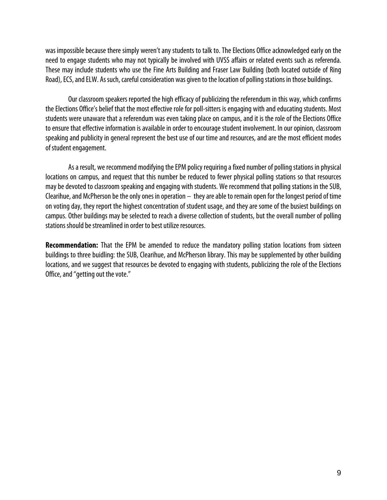was impossible because there simply weren't any students to talk to. The Elections Office acknowledged early on the need to engage students who may not typically be involved with UVSS affairs or related events such as referenda. These may include students who use the Fine Arts Building and Fraser Law Building (both located outside of Ring Road), ECS, and ELW. As such, careful consideration was given to the location of polling stations in those buildings.

 Our classroom speakers reported the high efficacy of publicizing the referendum in this way, which confirms the Elections Office's belief that the most effective role for poll-sitters is engaging with and educating students. Most students were unaware that a referendum was even taking place on campus, and it is the role of the Elections Office to ensure that effective information is available in order to encourage student involvement. In our opinion, classroom speaking and publicity in general represent the best use of our time and resources, and are the most efficient modes of student engagement.

 As a result, we recommend modifying the EPM policy requiring a fixed number of polling stations in physical locations on campus, and request that this number be reduced to fewer physical polling stations so that resources may be devoted to classroom speaking and engaging with students. We recommend that polling stations in the SUB, Clearihue, and McPherson be the only ones in operation – they are able to remain open for the longest period of time on voting day, they report the highest concentration of student usage, and they are some of the busiest buildings on campus. Other buildings may be selected to reach a diverse collection of students, but the overall number of polling stations should be streamlined in order to best utilize resources.

**Recommendation:** That the EPM be amended to reduce the mandatory polling station locations from sixteen buildings to three buidling: the SUB, Clearihue, and McPherson library. This may be supplemented by other building locations, and we suggest that resources be devoted to engaging with students, publicizing the role of the Elections Office, and "getting out the vote."